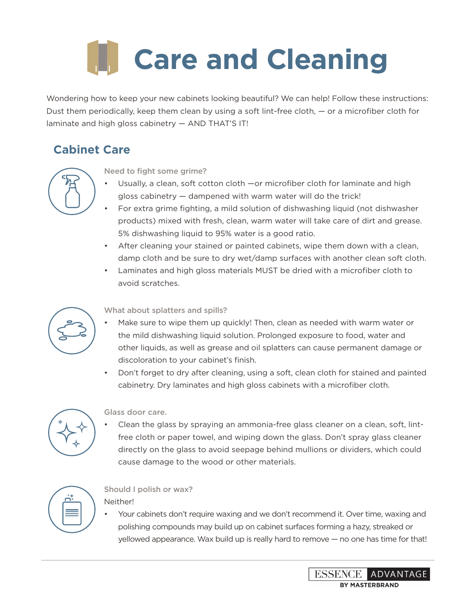# **Care and Cleaning**

Wondering how to keep your new cabinets looking beautiful? We can help! Follow these instructions: Dust them periodically, keep them clean by using a soft lint-free cloth, — or a microfiber cloth for laminate and high gloss cabinetry — AND THAT'S IT!

## **Cabinet Care**



#### Need to fight some grime?

- Usually, a clean, soft cotton cloth —or microfiber cloth for laminate and high gloss cabinetry — dampened with warm water will do the trick!
- For extra grime fighting, a mild solution of dishwashing liquid (not dishwasher products) mixed with fresh, clean, warm water will take care of dirt and grease. 5% dishwashing liquid to 95% water is a good ratio.
- After cleaning your stained or painted cabinets, wipe them down with a clean, damp cloth and be sure to dry wet/damp surfaces with another clean soft cloth.
- Laminates and high gloss materials MUST be dried with a microfiber cloth to avoid scratches.



#### What about splatters and spills?

- Make sure to wipe them up quickly! Then, clean as needed with warm water or the mild dishwashing liquid solution. Prolonged exposure to food, water and other liquids, as well as grease and oil splatters can cause permanent damage or discoloration to your cabinet's finish.
- Don't forget to dry after cleaning, using a soft, clean cloth for stained and painted cabinetry. Dry laminates and high gloss cabinets with a microfiber cloth.



#### Glass door care.

• Clean the glass by spraying an ammonia-free glass cleaner on a clean, soft, lintfree cloth or paper towel, and wiping down the glass. Don't spray glass cleaner directly on the glass to avoid seepage behind mullions or dividers, which could cause damage to the wood or other materials.



### Should I polish or wax?

Neither!

• Your cabinets don't require waxing and we don't recommend it. Over time, waxing and polishing compounds may build up on cabinet surfaces forming a hazy, streaked or yellowed appearance. Wax build up is really hard to remove — no one has time for that!